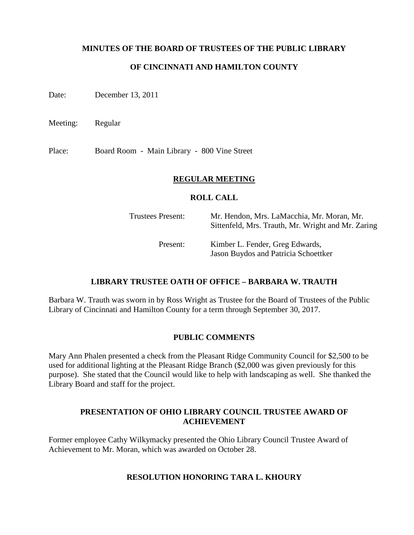### **MINUTES OF THE BOARD OF TRUSTEES OF THE PUBLIC LIBRARY**

## **OF CINCINNATI AND HAMILTON COUNTY**

Date: December 13, 2011

Meeting: Regular

Place: Board Room - Main Library - 800 Vine Street

#### **REGULAR MEETING**

#### **ROLL CALL**

| <b>Trustees Present:</b> | Mr. Hendon, Mrs. LaMacchia, Mr. Moran, Mr.<br>Sittenfeld, Mrs. Trauth, Mr. Wright and Mr. Zaring |
|--------------------------|--------------------------------------------------------------------------------------------------|
| Present:                 | Kimber L. Fender, Greg Edwards,<br>Jason Buydos and Patricia Schoettker                          |

### **LIBRARY TRUSTEE OATH OF OFFICE – BARBARA W. TRAUTH**

Barbara W. Trauth was sworn in by Ross Wright as Trustee for the Board of Trustees of the Public Library of Cincinnati and Hamilton County for a term through September 30, 2017.

#### **PUBLIC COMMENTS**

Mary Ann Phalen presented a check from the Pleasant Ridge Community Council for \$2,500 to be used for additional lighting at the Pleasant Ridge Branch (\$2,000 was given previously for this purpose). She stated that the Council would like to help with landscaping as well. She thanked the Library Board and staff for the project.

### **PRESENTATION OF OHIO LIBRARY COUNCIL TRUSTEE AWARD OF ACHIEVEMENT**

Former employee Cathy Wilkymacky presented the Ohio Library Council Trustee Award of Achievement to Mr. Moran, which was awarded on October 28.

### **RESOLUTION HONORING TARA L. KHOURY**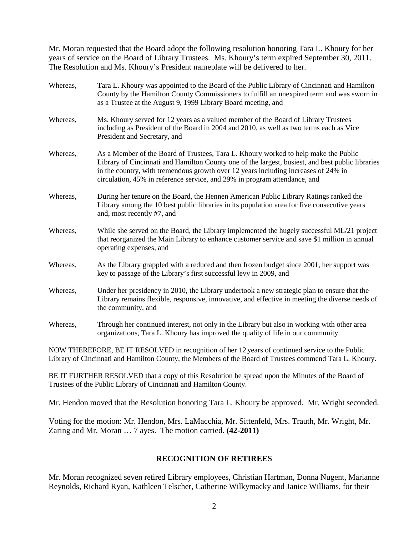Mr. Moran requested that the Board adopt the following resolution honoring Tara L. Khoury for her years of service on the Board of Library Trustees. Ms. Khoury's term expired September 30, 2011. The Resolution and Ms. Khoury's President nameplate will be delivered to her.

| Whereas, | Tara L. Khoury was appointed to the Board of the Public Library of Cincinnati and Hamilton<br>County by the Hamilton County Commissioners to fulfill an unexpired term and was sworn in<br>as a Trustee at the August 9, 1999 Library Board meeting, and                                                                                                   |
|----------|------------------------------------------------------------------------------------------------------------------------------------------------------------------------------------------------------------------------------------------------------------------------------------------------------------------------------------------------------------|
| Whereas, | Ms. Khoury served for 12 years as a valued member of the Board of Library Trustees<br>including as President of the Board in 2004 and 2010, as well as two terms each as Vice<br>President and Secretary, and                                                                                                                                              |
| Whereas, | As a Member of the Board of Trustees, Tara L. Khoury worked to help make the Public<br>Library of Cincinnati and Hamilton County one of the largest, busiest, and best public libraries<br>in the country, with tremendous growth over 12 years including increases of 24% in<br>circulation, 45% in reference service, and 29% in program attendance, and |
| Whereas, | During her tenure on the Board, the Hennen American Public Library Ratings ranked the<br>Library among the 10 best public libraries in its population area for five consecutive years<br>and, most recently #7, and                                                                                                                                        |
| Whereas, | While she served on the Board, the Library implemented the hugely successful ML/21 project<br>that reorganized the Main Library to enhance customer service and save \$1 million in annual<br>operating expenses, and                                                                                                                                      |
| Whereas, | As the Library grappled with a reduced and then frozen budget since 2001, her support was<br>key to passage of the Library's first successful levy in 2009, and                                                                                                                                                                                            |
| Whereas, | Under her presidency in 2010, the Library undertook a new strategic plan to ensure that the<br>Library remains flexible, responsive, innovative, and effective in meeting the diverse needs of<br>the community, and                                                                                                                                       |
| Whereas, | Through her continued interest, not only in the Library but also in working with other area<br>organizations, Tara L. Khoury has improved the quality of life in our community.                                                                                                                                                                            |

NOW THEREFORE, BE IT RESOLVED in recognition of her 12 years of continued service to the Public Library of Cincinnati and Hamilton County, the Members of the Board of Trustees commend Tara L. Khoury.

BE IT FURTHER RESOLVED that a copy of this Resolution be spread upon the Minutes of the Board of Trustees of the Public Library of Cincinnati and Hamilton County.

Mr. Hendon moved that the Resolution honoring Tara L. Khoury be approved. Mr. Wright seconded.

Voting for the motion: Mr. Hendon, Mrs. LaMacchia, Mr. Sittenfeld, Mrs. Trauth, Mr. Wright, Mr. Zaring and Mr. Moran … 7 ayes. The motion carried. **(42-2011)**

### **RECOGNITION OF RETIREES**

Mr. Moran recognized seven retired Library employees, Christian Hartman, Donna Nugent, Marianne Reynolds, Richard Ryan, Kathleen Telscher, Catherine Wilkymacky and Janice Williams, for their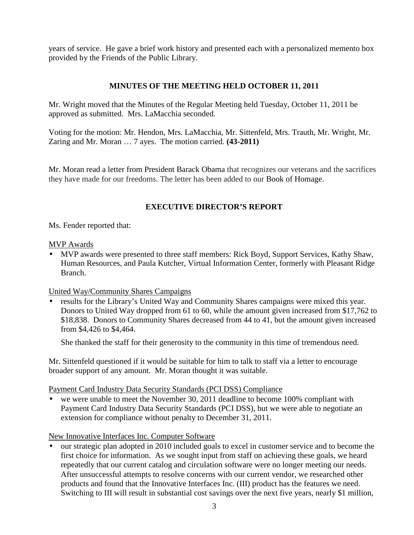years of service. He gave a brief work history and presented each with a personalized memento box provided by the Friends of the Public Library.

# **MINUTES OF THE MEETING HELD OCTOBER 11, 2011**

Mr. Wright moved that the Minutes of the Regular Meeting held Tuesday, October 11, 2011 be approved as submitted. Mrs. LaMacchia seconded.

Voting for the motion: Mr. Hendon, Mrs. LaMacchia, Mr. Sittenfeld, Mrs. Trauth, Mr. Wright, Mr. Zaring and Mr. Moran … 7 ayes. The motion carried. **(43-2011)**

Mr. Moran read a letter from President Barack Obama that recognizes our veterans and the sacrifices they have made for our freedoms. The letter has been added to our Book of Homage.

# **EXECUTIVE DIRECTOR'S REPORT**

Ms. Fender reported that:

### MVP Awards

• MVP awards were presented to three staff members: Rick Boyd, Support Services, Kathy Shaw, Human Resources, and Paula Kutcher, Virtual Information Center, formerly with Pleasant Ridge Branch.

# United Way/Community Shares Campaigns

• results for the Library's United Way and Community Shares campaigns were mixed this year. Donors to United Way dropped from 61 to 60, while the amount given increased from \$17,762 to \$18,838. Donors to Community Shares decreased from 44 to 41, but the amount given increased from \$4,426 to \$4,464.

She thanked the staff for their generosity to the community in this time of tremendous need.

Mr. Sittenfeld questioned if it would be suitable for him to talk to staff via a letter to encourage broader support of any amount. Mr. Moran thought it was suitable.

Payment Card Industry Data Security Standards (PCI DSS) Compliance

• we were unable to meet the November 30, 2011 deadline to become 100% compliant with Payment Card Industry Data Security Standards (PCI DSS), but we were able to negotiate an extension for compliance without penalty to December 31, 2011.

New Innovative Interfaces Inc. Computer Software

• our strategic plan adopted in 2010 included goals to excel in customer service and to become the first choice for information. As we sought input from staff on achieving these goals, we heard repeatedly that our current catalog and circulation software were no longer meeting our needs. After unsuccessful attempts to resolve concerns with our current vendor, we researched other products and found that the Innovative Interfaces Inc. (III) product has the features we need. Switching to III will result in substantial cost savings over the next five years, nearly \$1 million,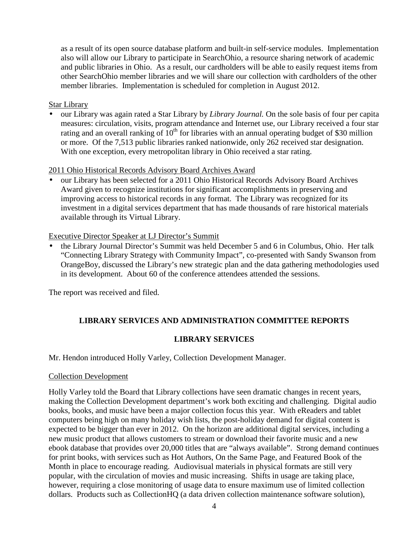as a result of its open source database platform and built-in self-service modules. Implementation also will allow our Library to participate in SearchOhio, a resource sharing network of academic and public libraries in Ohio. As a result, our cardholders will be able to easily request items from other SearchOhio member libraries and we will share our collection with cardholders of the other member libraries. Implementation is scheduled for completion in August 2012.

## Star Library

• our Library was again rated a Star Library by *Library Journal.* On the sole basis of four per capita measures: circulation, visits, program attendance and Internet use, our Library received a four star rating and an overall ranking of  $10<sup>th</sup>$  for libraries with an annual operating budget of \$30 million or more. Of the 7,513 public libraries ranked nationwide, only 262 received star designation. With one exception, every metropolitan library in Ohio received a star rating.

### 2011 Ohio Historical Records Advisory Board Archives Award

• our Library has been selected for a 2011 Ohio Historical Records Advisory Board Archives Award given to recognize institutions for significant accomplishments in preserving and improving access to historical records in any format. The Library was recognized for its investment in a digital services department that has made thousands of rare historical materials available through its Virtual Library.

# Executive Director Speaker at LJ Director's Summit

• the Library Journal Director's Summit was held December 5 and 6 in Columbus, Ohio. Her talk "Connecting Library Strategy with Community Impact", co-presented with Sandy Swanson from OrangeBoy, discussed the Library's new strategic plan and the data gathering methodologies used in its development. About 60 of the conference attendees attended the sessions.

The report was received and filed.

# **LIBRARY SERVICES AND ADMINISTRATION COMMITTEE REPORTS**

# **LIBRARY SERVICES**

Mr. Hendon introduced Holly Varley, Collection Development Manager.

### Collection Development

Holly Varley told the Board that Library collections have seen dramatic changes in recent years, making the Collection Development department's work both exciting and challenging. Digital audio books, books, and music have been a major collection focus this year. With eReaders and tablet computers being high on many holiday wish lists, the post-holiday demand for digital content is expected to be bigger than ever in 2012. On the horizon are additional digital services, including a new music product that allows customers to stream or download their favorite music and a new ebook database that provides over 20,000 titles that are "always available". Strong demand continues for print books, with services such as Hot Authors, On the Same Page, and Featured Book of the Month in place to encourage reading. Audiovisual materials in physical formats are still very popular, with the circulation of movies and music increasing. Shifts in usage are taking place, however, requiring a close monitoring of usage data to ensure maximum use of limited collection dollars. Products such as CollectionHO (a data driven collection maintenance software solution),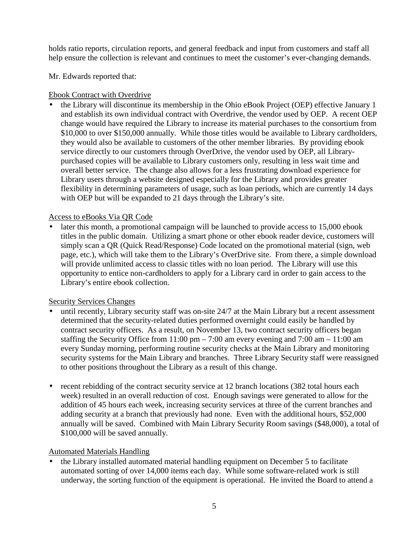holds ratio reports, circulation reports, and general feedback and input from customers and staff all help ensure the collection is relevant and continues to meet the customer's ever-changing demands.

Mr. Edwards reported that:

# Ebook Contract with Overdrive

• the Library will discontinue its membership in the Ohio eBook Project (OEP) effective January 1 and establish its own individual contract with Overdrive, the vendor used by OEP. A recent OEP change would have required the Library to increase its material purchases to the consortium from \$10,000 to over \$150,000 annually. While those titles would be available to Library cardholders, they would also be available to customers of the other member libraries. By providing ebook service directly to our customers through OverDrive, the vendor used by OEP, all Librarypurchased copies will be available to Library customers only, resulting in less wait time and overall better service. The change also allows for a less frustrating download experience for Library users through a website designed especially for the Library and provides greater flexibility in determining parameters of usage, such as loan periods, which are currently 14 days with OEP but will be expanded to 21 days through the Library's site.

# Access to eBooks Via QR Code

later this month, a promotional campaign will be launched to provide access to 15,000 ebook titles in the public domain. Utilizing a smart phone or other ebook reader device, customers will simply scan a QR (Quick Read/Response) Code located on the promotional material (sign, web page, etc.), which will take them to the Library's OverDrive site. From there, a simple download will provide unlimited access to classic titles with no loan period. The Library will use this opportunity to entice non-cardholders to apply for a Library card in order to gain access to the Library's entire ebook collection.

# Security Services Changes

- until recently, Library security staff was on-site 24/7 at the Main Library but a recent assessment determined that the security-related duties performed overnight could easily be handled by contract security officers. As a result, on November 13, two contract security officers began staffing the Security Office from  $11:00 \text{ pm} - 7:00$  am every evening and  $7:00 \text{ am} - 11:00 \text{ am}$ every Sunday morning, performing routine security checks at the Main Library and monitoring security systems for the Main Library and branches. Three Library Security staff were reassigned to other positions throughout the Library as a result of this change.
- recent rebidding of the contract security service at 12 branch locations (382 total hours each week) resulted in an overall reduction of cost. Enough savings were generated to allow for the addition of 45 hours each week, increasing security services at three of the current branches and adding security at a branch that previously had none. Even with the additional hours, \$52,000 annually will be saved. Combined with Main Library Security Room savings (\$48,000), a total of \$100,000 will be saved annually.

# Automated Materials Handling

• the Library installed automated material handling equipment on December 5 to facilitate automated sorting of over 14,000 items each day. While some software-related work is still underway, the sorting function of the equipment is operational. He invited the Board to attend a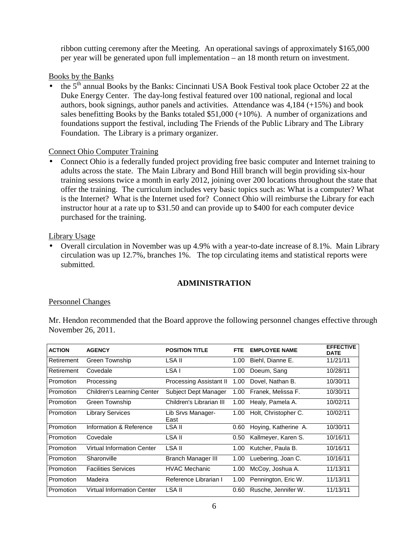ribbon cutting ceremony after the Meeting. An operational savings of approximately \$165,000 per year will be generated upon full implementation – an 18 month return on investment.

Books by the Banks

the 5<sup>th</sup> annual Books by the Banks: Cincinnati USA Book Festival took place October 22 at the Duke Energy Center. The day-long festival featured over 100 national, regional and local authors, book signings, author panels and activities. Attendance was 4,184 (+15%) and book sales benefitting Books by the Banks totaled \$51,000 (+10%). A number of organizations and foundations support the festival, including The Friends of the Public Library and The Library Foundation. The Library is a primary organizer.

# Connect Ohio Computer Training

• Connect Ohio is a federally funded project providing free basic computer and Internet training to adults across the state. The Main Library and Bond Hill branch will begin providing six-hour training sessions twice a month in early 2012, joining over 200 locations throughout the state that offer the training. The curriculum includes very basic topics such as: What is a computer? What is the Internet? What is the Internet used for? Connect Ohio will reimburse the Library for each instructor hour at a rate up to \$31.50 and can provide up to \$400 for each computer device purchased for the training.

# Library Usage

• Overall circulation in November was up 4.9% with a year-to-date increase of 8.1%. Main Library circulation was up 12.7%, branches 1%. The top circulating items and statistical reports were submitted.

# **ADMINISTRATION**

# Personnel Changes

Mr. Hendon recommended that the Board approve the following personnel changes effective through November 26, 2011.

| <b>ACTION</b> | <b>AGENCY</b>              | <b>POSITION TITLE</b>          | <b>FTE</b> | <b>EMPLOYEE NAME</b> | <b>EFFECTIVE</b><br><b>DATE</b> |
|---------------|----------------------------|--------------------------------|------------|----------------------|---------------------------------|
| Retirement    | Green Township             | LSA II                         | 1.00       | Biehl, Dianne E.     | 11/21/11                        |
| Retirement    | Covedale                   | LSA I                          | 1.00       | Doeum, Sang          | 10/28/11                        |
| Promotion     | Processing                 | <b>Processing Assistant II</b> | 1.00       | Dovel, Nathan B.     | 10/30/11                        |
| Promotion     | Children's Learning Center | Subject Dept Manager           | 1.00       | Franek. Melissa F.   | 10/30/11                        |
| Promotion     | Green Township             | Children's Librarian III       | 1.00       | Healy, Pamela A.     | 10/02/11                        |
| Promotion     | <b>Library Services</b>    | Lib Srvs Manager-<br>East      | 1.00       | Holt, Christopher C. | 10/02/11                        |
| Promotion     | Information & Reference    | LSA II                         | 0.60       | Hoying, Katherine A. | 10/30/11                        |
| Promotion     | Covedale                   | LSA II                         | 0.50       | Kallmeyer, Karen S.  | 10/16/11                        |
| Promotion     | Virtual Information Center | LSA II                         | 1.00       | Kutcher, Paula B.    | 10/16/11                        |
| Promotion     | Sharonville                | Branch Manager III             | 1.00       | Luebering, Joan C.   | 10/16/11                        |
| Promotion     | <b>Facilities Services</b> | <b>HVAC Mechanic</b>           | 1.00       | McCoy, Joshua A.     | 11/13/11                        |
| Promotion     | Madeira                    | Reference Librarian I          | 1.00       | Pennington, Eric W.  | 11/13/11                        |
| Promotion     | Virtual Information Center | LSA II                         | 0.60       | Rusche, Jennifer W.  | 11/13/11                        |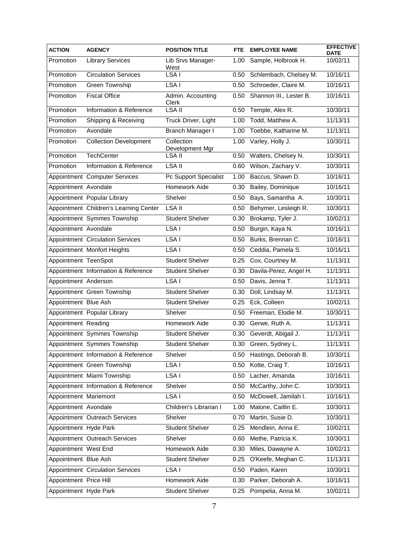| <b>ACTION</b>          | <b>AGENCY</b>                           | <b>POSITION TITLE</b>         | FTE.              | <b>EMPLOYEE NAME</b>      | <b>EFFECTIVE</b><br><b>DATE</b> |
|------------------------|-----------------------------------------|-------------------------------|-------------------|---------------------------|---------------------------------|
| Promotion              | <b>Library Services</b>                 | Lib Srvs Manager-<br>West     | 1.00              | Sample, Holbrook H.       | 10/02/11                        |
| Promotion              | <b>Circulation Services</b>             | LSA <sub>I</sub>              | 0.50              | Schlembach, Chelsey M.    | 10/16/11                        |
| Promotion              | Green Township                          | LSA I                         | 0.50              | Schroeder, Claire M.      | 10/16/11                        |
| Promotion              | <b>Fiscal Office</b>                    | Admin. Accounting<br>Clerk    | 0.50              | Shannon III., Lester B.   | 10/16/11                        |
| Promotion              | Information & Reference                 | LSA II                        | 0.50              | Temple, Alex R.           | 10/30/11                        |
| Promotion              | Shipping & Receiving                    | Truck Driver, Light           | 1.00              | Todd, Matthew A.          | 11/13/11                        |
| Promotion              | Avondale                                | Branch Manager I              | 1.00              | Toebbe, Katharine M.      | 11/13/11                        |
| Promotion              | <b>Collection Development</b>           | Collection<br>Development Mgr | 1.00              | Varley, Holly J.          | 10/30/11                        |
| Promotion              | <b>TechCenter</b>                       | LSA II                        |                   | 0.50 Walters, Chelsey N.  | 10/30/11                        |
| Promotion              | Information & Reference                 | LSA II                        | 0.60              | Wilson, Zachary V.        | 10/30/11                        |
|                        | Appointment Computer Services           | Pc Support Specialist         | $\overline{1.00}$ | Baccus, Shawn D.          | 10/16/11                        |
| Appointment Avondale   |                                         | Homework Aide                 | 0.30              | Bailey, Dominique         | 10/16/11                        |
|                        | Appointment Popular Library             | Shelver                       | 0.50              | Bays, Samantha A.         | 10/30/11                        |
|                        | Appointment Children's Learning Center  | $LSA$ II                      | 0.50              | Behymer, Lesleigh R.      | 10/30/11                        |
|                        | Appointment Symmes Township             | <b>Student Shelver</b>        | 0.30              | Brokamp, Tyler J.         | 10/02/11                        |
| Appointment Avondale   |                                         | LSA <sub>I</sub>              | 0.50              | Burgin, Kaya N.           | 10/16/11                        |
|                        | <b>Appointment Circulation Services</b> | LSA I                         | 0.50              | Burks, Brennan C.         | 10/16/11                        |
|                        | Appointment Monfort Heights             | LSA I                         | 0.50              | Ceddia, Pamela S.         | 10/16/11                        |
| Appointment TeenSpot   |                                         | <b>Student Shelver</b>        | 0.25              | Cox, Courtney M.          | 11/13/11                        |
|                        | Appointment Information & Reference     | <b>Student Shelver</b>        | 0.30              | Davila-Perez, Angel H.    | 11/13/11                        |
| Appointment Anderson   |                                         | LSA <sub>I</sub>              | 0.50              | Davis, Jenna T.           | 11/13/11                        |
|                        | Appointment Green Township              | Student Shelver               | 0.30              | Doll, Lindsay M.          | 11/13/11                        |
| Appointment Blue Ash   |                                         | <b>Student Shelver</b>        | 0.25              | Eck, Colleen              | 10/02/11                        |
|                        | Appointment Popular Library             | Shelver                       | 0.50              | Freeman, Elodie M.        | 10/30/11                        |
| Appointment Reading    |                                         | Homework Aide                 | 0.30              | Gerwe, Ruth A.            | 11/13/11                        |
|                        | Appointment Symmes Township             | <b>Student Shelver</b>        | 0.30              | Geverdt, Abigail J.       | 11/13/11                        |
|                        | Appointment Symmes Township             | <b>Student Shelver</b>        | 0.30              | Green, Sydney L.          | 11/13/11                        |
|                        | Appointment Information & Reference     | Shelver                       |                   | 0.50 Hastings, Deborah B. | 10/30/11                        |
|                        | Appointment Green Township              | LSA I                         | 0.50              | Kotte, Craig T.           | 10/16/11                        |
|                        | Appointment Miami Township              | LSA I                         | 0.50              | Lacher, Amanda            | 10/16/11                        |
|                        | Appointment Information & Reference     | Shelver                       | 0.50              | McCarthy, John C.         | 10/30/11                        |
| Appointment Mariemont  |                                         | LSA I                         | 0.50              | McDowell, Jamilah I.      | 10/16/11                        |
| Appointment Avondale   |                                         | Children's Librarian I        | 1.00              | Malone, Caitlin E.        | 10/30/11                        |
|                        | Appointment Outreach Services           | Shelver                       | 0.70              | Martin, Susie D.          | 10/30/11                        |
| Appointment Hyde Park  |                                         | <b>Student Shelver</b>        | 0.25              | Mendlein, Anna E.         | 10/02/11                        |
|                        | Appointment Outreach Services           | Shelver                       | 0.60              | Methe, Patricia K.        | 10/30/11                        |
| Appointment West End   |                                         | Homework Aide                 | 0.30              | Miles, Dawayne A.         | 10/02/11                        |
| Appointment Blue Ash   |                                         | <b>Student Shelver</b>        | 0.25              | O'Keefe, Meghan C.        | 11/13/11                        |
|                        | <b>Appointment Circulation Services</b> | $\overline{\text{LS}}$ A I    | 0.50              | Paden, Karen              | 10/30/11                        |
| Appointment Price Hill |                                         | Homework Aide                 | 0.30              | Parker, Deborah A.        | 10/16/11                        |
| Appointment Hyde Park  |                                         | Student Shelver               | 0.25              | Pompelia, Anna M.         | 10/02/11                        |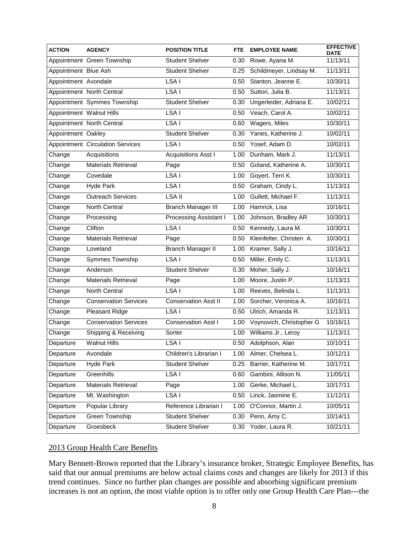| <b>ACTION</b>            | <b>AGENCY</b>                    | <b>POSITION TITLE</b>       | FTE. | <b>EMPLOYEE NAME</b>     | <b>EFFECTIVE</b><br><b>DATE</b> |
|--------------------------|----------------------------------|-----------------------------|------|--------------------------|---------------------------------|
|                          | Appointment Green Township       | <b>Student Shelver</b>      | 0.30 | Rowe, Ayana M.           | 11/13/11                        |
| Appointment Blue Ash     |                                  | <b>Student Shelver</b>      | 0.25 | Schildmeyer, Lindsay M.  | 11/13/11                        |
| Appointment Avondale     |                                  | LSA I                       | 0.50 | Stanton, Jeanne E.       | 10/30/11                        |
|                          | Appointment North Central        | LSA I                       | 0.50 | Sutton, Julia B.         | 11/13/11                        |
|                          | Appointment Symmes Township      | <b>Student Shelver</b>      | 0.30 | Ungerleider, Adriana E.  | 10/02/11                        |
| Appointment Walnut Hills |                                  | LSA I                       | 0.50 | Veach, Carol A.          | 10/02/11                        |
|                          | Appointment North Central        | LSA I                       | 0.60 | Wagers, Miles            | 10/30/11                        |
| Appointment Oakley       |                                  | <b>Student Shelver</b>      | 0.30 | Yanes, Katherine J.      | 10/02/11                        |
|                          | Appointment Circulation Services | LSA I                       | 0.50 | Yosef, Adam D.           | 10/02/11                        |
| Change                   | Acquisitions                     | <b>Acquisitions Asst I</b>  | 1.00 | Dunham, Mark J.          | 11/13/11                        |
| Change                   | <b>Materials Retrieval</b>       | Page                        | 0.50 | Goland, Katherine A.     | 10/30/11                        |
| Change                   | Covedale                         | LSA I                       | 1.00 | Goyert, Terri K.         | 10/30/11                        |
| Change                   | <b>Hyde Park</b>                 | LSA I                       | 0.50 | Graham, Cindy L.         | 11/13/11                        |
| Change                   | <b>Outreach Services</b>         | LSA II                      | 1.00 | Gullett, Michael F.      | 11/13/11                        |
| Change                   | North Central                    | <b>Branch Manager III</b>   | 1.00 | Hamrick, Lisa            | 10/16/11                        |
| Change                   | Processing                       | Processing Assistant I      | 1.00 | Johnson, Bradley AR      | 10/30/11                        |
| Change                   | Clifton                          | LSA <sub>I</sub>            | 0.50 | Kennedy, Laura M.        | 10/30/11                        |
| Change                   | <b>Materials Retrieval</b>       | Page                        | 0.50 | Kleinfelter, Christen A. | 10/30/11                        |
| Change                   | Loveland                         | <b>Branch Manager II</b>    | 1.00 | Kramer, Sally J.         | 10/16/11                        |
| Change                   | Symmes Township                  | LSA I                       | 0.50 | Miller, Emily C.         | 11/13/11                        |
| Change                   | Anderson                         | <b>Student Shelver</b>      | 0.30 | Moher, Sally J.          | 10/16/11                        |
| Change                   | <b>Materials Retrieval</b>       | Page                        | 1.00 | Moore, Justin P.         | 11/13/11                        |
| Change                   | North Central                    | LSA <sub>I</sub>            | 1.00 | Reeves, Belinda L.       | 11/13/11                        |
| Change                   | <b>Conservation Services</b>     | <b>Conservation Asst II</b> | 1.00 | Sorcher, Veronica A.     | 10/16/11                        |
| Change                   | <b>Pleasant Ridge</b>            | LSA <sub>I</sub>            | 0.50 | Ulrich, Amanda R.        | 11/13/11                        |
| Change                   | <b>Conservation Services</b>     | <b>Conservation Asst I</b>  | 1.00 | Voynovich, Christopher G | 10/16/11                        |
| Change                   | Shipping & Receiving             | Sorter                      | 1.00 | Williams Jr., Leroy      | 11/13/11                        |
| Departure                | <b>Walnut Hills</b>              | LSA I                       | 0.50 | Adolphson, Alan          | 10/10/11                        |
| Departure                | Avondale                         | Children's Librarian I      |      | 1.00 Almer, Chelsea L.   | 10/12/11                        |
| Departure                | <b>Hyde Park</b>                 | <b>Student Shelver</b>      | 0.25 | Barrier, Katherine M.    | 10/17/11                        |
| Departure                | Greenhills                       | LSA I                       | 0.60 | Gambini, Allison N.      | 11/05/11                        |
| Departure                | Materials Retrieval              | Page                        | 1.00 | Gerke, Michael L.        | 10/17/11                        |
| Departure                | Mt. Washington                   | LSA I                       | 0.50 | Linck, Jasmine E.        | 11/12/11                        |
| Departure                | Popular Library                  | Reference Librarian I       | 1.00 | O'Connor, Martin J.      | 10/05/11                        |
| Departure                | Green Township                   | <b>Student Shelver</b>      | 0.30 | Penn, Amy C.             | 10/14/11                        |
| Departure                | Groesbeck                        | <b>Student Shelver</b>      | 0.30 | Yoder, Laura R.          | 10/21/11                        |

# 2013 Group Health Care Benefits

Mary Bennett-Brown reported that the Library's insurance broker, Strategic Employee Benefits, has said that our annual premiums are below actual claims costs and changes are likely for 2013 if this trend continues. Since no further plan changes are possible and absorbing significant premium increases is not an option, the most viable option is to offer only one Group Health Care Plan---the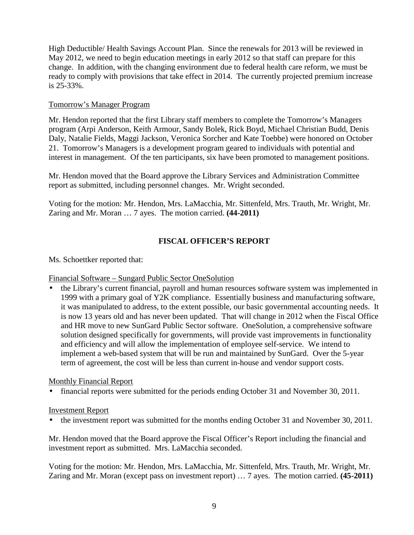High Deductible/ Health Savings Account Plan. Since the renewals for 2013 will be reviewed in May 2012, we need to begin education meetings in early 2012 so that staff can prepare for this change. In addition, with the changing environment due to federal health care reform, we must be ready to comply with provisions that take effect in 2014. The currently projected premium increase is 25-33%.

# Tomorrow's Manager Program

Mr. Hendon reported that the first Library staff members to complete the Tomorrow's Managers program (Arpi Anderson, Keith Armour, Sandy Bolek, Rick Boyd, Michael Christian Budd, Denis Daly, Natalie Fields, Maggi Jackson, Veronica Sorcher and Kate Toebbe) were honored on October 21. Tomorrow's Managers is a development program geared to individuals with potential and interest in management. Of the ten participants, six have been promoted to management positions.

Mr. Hendon moved that the Board approve the Library Services and Administration Committee report as submitted, including personnel changes. Mr. Wright seconded.

Voting for the motion: Mr. Hendon, Mrs. LaMacchia, Mr. Sittenfeld, Mrs. Trauth, Mr. Wright, Mr. Zaring and Mr. Moran … 7 ayes. The motion carried. **(44-2011)** 

# **FISCAL OFFICER'S REPORT**

Ms. Schoettker reported that:

Financial Software – Sungard Public Sector OneSolution

• the Library's current financial, payroll and human resources software system was implemented in 1999 with a primary goal of Y2K compliance. Essentially business and manufacturing software, it was manipulated to address, to the extent possible, our basic governmental accounting needs. It is now 13 years old and has never been updated. That will change in 2012 when the Fiscal Office and HR move to new SunGard Public Sector software. OneSolution, a comprehensive software solution designed specifically for governments, will provide vast improvements in functionality and efficiency and will allow the implementation of employee self-service. We intend to implement a web-based system that will be run and maintained by SunGard. Over the 5-year term of agreement, the cost will be less than current in-house and vendor support costs.

Monthly Financial Report

• financial reports were submitted for the periods ending October 31 and November 30, 2011.

### Investment Report

• the investment report was submitted for the months ending October 31 and November 30, 2011.

Mr. Hendon moved that the Board approve the Fiscal Officer's Report including the financial and investment report as submitted. Mrs. LaMacchia seconded.

Voting for the motion: Mr. Hendon, Mrs. LaMacchia, Mr. Sittenfeld, Mrs. Trauth, Mr. Wright, Mr. Zaring and Mr. Moran (except pass on investment report) … 7 ayes. The motion carried. **(45-2011)**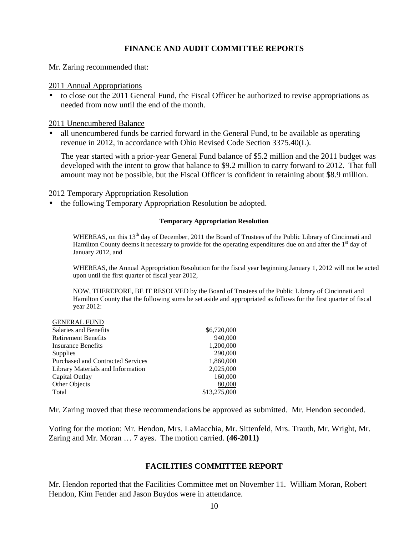### **FINANCE AND AUDIT COMMITTEE REPORTS**

Mr. Zaring recommended that:

#### 2011 Annual Appropriations

• to close out the 2011 General Fund, the Fiscal Officer be authorized to revise appropriations as needed from now until the end of the month.

### 2011 Unencumbered Balance

• all unencumbered funds be carried forward in the General Fund, to be available as operating revenue in 2012, in accordance with Ohio Revised Code Section 3375.40(L).

The year started with a prior-year General Fund balance of \$5.2 million and the 2011 budget was developed with the intent to grow that balance to \$9.2 million to carry forward to 2012. That full amount may not be possible, but the Fiscal Officer is confident in retaining about \$8.9 million.

#### 2012 Temporary Appropriation Resolution

• the following Temporary Appropriation Resolution be adopted.

#### **Temporary Appropriation Resolution**

WHEREAS, on this 13<sup>th</sup> day of December, 2011 the Board of Trustees of the Public Library of Cincinnati and Hamilton County deems it necessary to provide for the operating expenditures due on and after the  $1<sup>st</sup>$  day of January 2012, and

WHEREAS, the Annual Appropriation Resolution for the fiscal year beginning January 1, 2012 will not be acted upon until the first quarter of fiscal year 2012,

NOW, THEREFORE, BE IT RESOLVED by the Board of Trustees of the Public Library of Cincinnati and Hamilton County that the following sums be set aside and appropriated as follows for the first quarter of fiscal year 2012:

#### GENERAL FUND

| Salaries and Benefits                    | \$6,720,000  |
|------------------------------------------|--------------|
| <b>Retirement Benefits</b>               | 940,000      |
| <b>Insurance Benefits</b>                | 1,200,000    |
| <b>Supplies</b>                          | 290,000      |
| <b>Purchased and Contracted Services</b> | 1,860,000    |
| Library Materials and Information        | 2.025,000    |
| Capital Outlay                           | 160,000      |
| Other Objects                            | 80,000       |
| Total                                    | \$13,275,000 |

Mr. Zaring moved that these recommendations be approved as submitted. Mr. Hendon seconded.

Voting for the motion: Mr. Hendon, Mrs. LaMacchia, Mr. Sittenfeld, Mrs. Trauth, Mr. Wright, Mr. Zaring and Mr. Moran … 7 ayes. The motion carried. **(46-2011)**

### **FACILITIES COMMITTEE REPORT**

Mr. Hendon reported that the Facilities Committee met on November 11. William Moran, Robert Hendon, Kim Fender and Jason Buydos were in attendance.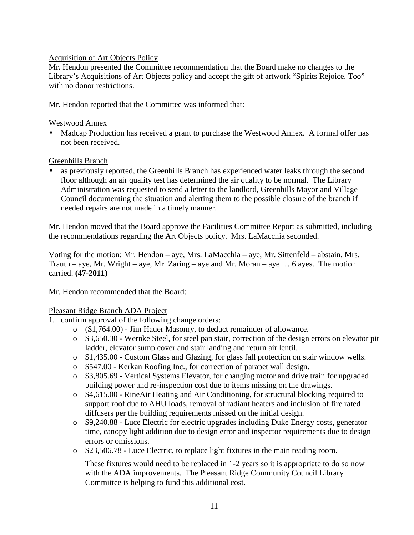# Acquisition of Art Objects Policy

Mr. Hendon presented the Committee recommendation that the Board make no changes to the Library's Acquisitions of Art Objects policy and accept the gift of artwork "Spirits Rejoice, Too" with no donor restrictions.

Mr. Hendon reported that the Committee was informed that:

### Westwood Annex

• Madcap Production has received a grant to purchase the Westwood Annex. A formal offer has not been received.

### Greenhills Branch

• as previously reported, the Greenhills Branch has experienced water leaks through the second floor although an air quality test has determined the air quality to be normal. The Library Administration was requested to send a letter to the landlord, Greenhills Mayor and Village Council documenting the situation and alerting them to the possible closure of the branch if needed repairs are not made in a timely manner.

Mr. Hendon moved that the Board approve the Facilities Committee Report as submitted, including the recommendations regarding the Art Objects policy. Mrs. LaMacchia seconded.

Voting for the motion: Mr. Hendon – aye, Mrs. LaMacchia – aye, Mr. Sittenfeld – abstain, Mrs. Trauth – aye, Mr. Wright – aye, Mr. Zaring – aye and Mr. Moran – aye  $\dots$  6 ayes. The motion carried. **(47-2011)**

Mr. Hendon recommended that the Board:

# Pleasant Ridge Branch ADA Project

- 1. confirm approval of the following change orders:
	- o (\$1,764.00) Jim Hauer Masonry, to deduct remainder of allowance.
	- o \$3,650.30 Wernke Steel, for steel pan stair, correction of the design errors on elevator pit ladder, elevator sump cover and stair landing and return air lentil.
	- o \$1,435.00 Custom Glass and Glazing, for glass fall protection on stair window wells.
	- o \$547.00 Kerkan Roofing Inc., for correction of parapet wall design.
	- o \$3,805.69 Vertical Systems Elevator, for changing motor and drive train for upgraded building power and re-inspection cost due to items missing on the drawings.
	- o \$4,615.00 RineAir Heating and Air Conditioning, for structural blocking required to support roof due to AHU loads, removal of radiant heaters and inclusion of fire rated diffusers per the building requirements missed on the initial design.
	- o \$9,240.88 Luce Electric for electric upgrades including Duke Energy costs, generator time, canopy light addition due to design error and inspector requirements due to design errors or omissions.
	- o \$23,506.78 Luce Electric, to replace light fixtures in the main reading room.

These fixtures would need to be replaced in 1-2 years so it is appropriate to do so now with the ADA improvements. The Pleasant Ridge Community Council Library Committee is helping to fund this additional cost.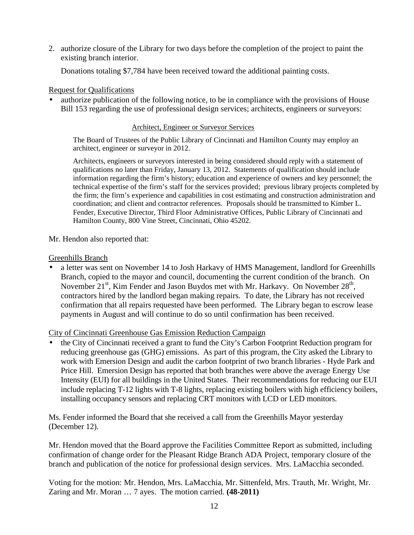2. authorize closure of the Library for two days before the completion of the project to paint the existing branch interior.

Donations totaling \$7,784 have been received toward the additional painting costs.

### Request for Qualifications

• authorize publication of the following notice, to be in compliance with the provisions of House Bill 153 regarding the use of professional design services; architects, engineers or surveyors:

### Architect, Engineer or Surveyor Services

The Board of Trustees of the Public Library of Cincinnati and Hamilton County may employ an architect, engineer or surveyor in 2012.

Architects, engineers or surveyors interested in being considered should reply with a statement of qualifications no later than Friday, January 13, 2012. Statements of qualification should include information regarding the firm's history; education and experience of owners and key personnel; the technical expertise of the firm's staff for the services provided; previous library projects completed by the firm; the firm's experience and capabilities in cost estimating and construction administration and coordination; and client and contractor references. Proposals should be transmitted to Kimber L. Fender, Executive Director, Third Floor Administrative Offices, Public Library of Cincinnati and Hamilton County, 800 Vine Street, Cincinnati, Ohio 45202.

Mr. Hendon also reported that:

### Greenhills Branch

• a letter was sent on November 14 to Josh Harkavy of HMS Management, landlord for Greenhills Branch, copied to the mayor and council, documenting the current condition of the branch. On November  $21^{st}$ , Kim Fender and Jason Buydos met with Mr. Harkavy. On November  $28^{th}$ , contractors hired by the landlord began making repairs. To date, the Library has not received confirmation that all repairs requested have been performed. The Library began to escrow lease payments in August and will continue to do so until confirmation has been received.

City of Cincinnati Greenhouse Gas Emission Reduction Campaign

• the City of Cincinnati received a grant to fund the City's Carbon Footprint Reduction program for reducing greenhouse gas (GHG) emissions. As part of this program, the City asked the Library to work with Emersion Design and audit the carbon footprint of two branch libraries - Hyde Park and Price Hill. Emersion Design has reported that both branches were above the average Energy Use Intensity (EUI) for all buildings in the United States. Their recommendations for reducing our EUI include replacing T-12 lights with T-8 lights, replacing existing boilers with high efficiency boilers, installing occupancy sensors and replacing CRT monitors with LCD or LED monitors.

Ms. Fender informed the Board that she received a call from the Greenhills Mayor yesterday (December 12).

Mr. Hendon moved that the Board approve the Facilities Committee Report as submitted, including confirmation of change order for the Pleasant Ridge Branch ADA Project, temporary closure of the branch and publication of the notice for professional design services. Mrs. LaMacchia seconded.

Voting for the motion: Mr. Hendon, Mrs. LaMacchia, Mr. Sittenfeld, Mrs. Trauth, Mr. Wright, Mr. Zaring and Mr. Moran … 7 ayes. The motion carried. **(48-2011)**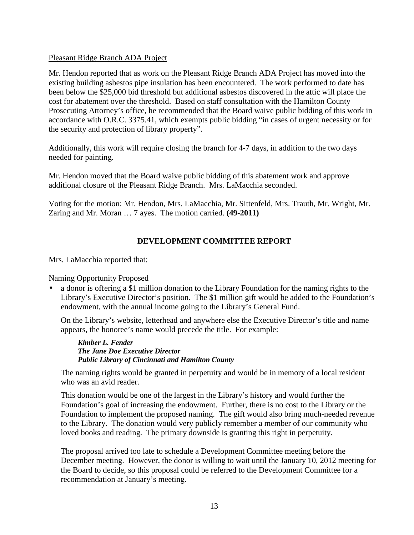## Pleasant Ridge Branch ADA Project

Mr. Hendon reported that as work on the Pleasant Ridge Branch ADA Project has moved into the existing building asbestos pipe insulation has been encountered. The work performed to date has been below the \$25,000 bid threshold but additional asbestos discovered in the attic will place the cost for abatement over the threshold. Based on staff consultation with the Hamilton County Prosecuting Attorney's office, he recommended that the Board waive public bidding of this work in accordance with O.R.C. 3375.41, which exempts public bidding "in cases of urgent necessity or for the security and protection of library property".

Additionally, this work will require closing the branch for 4-7 days, in addition to the two days needed for painting.

Mr. Hendon moved that the Board waive public bidding of this abatement work and approve additional closure of the Pleasant Ridge Branch. Mrs. LaMacchia seconded.

Voting for the motion: Mr. Hendon, Mrs. LaMacchia, Mr. Sittenfeld, Mrs. Trauth, Mr. Wright, Mr. Zaring and Mr. Moran … 7 ayes. The motion carried. **(49-2011)**

# **DEVELOPMENT COMMITTEE REPORT**

Mrs. LaMacchia reported that:

### Naming Opportunity Proposed

• a donor is offering a \$1 million donation to the Library Foundation for the naming rights to the Library's Executive Director's position. The \$1 million gift would be added to the Foundation's endowment, with the annual income going to the Library's General Fund.

On the Library's website, letterhead and anywhere else the Executive Director's title and name appears, the honoree's name would precede the title. For example:

*Kimber L. Fender The Jane Doe Executive Director Public Library of Cincinnati and Hamilton County* 

The naming rights would be granted in perpetuity and would be in memory of a local resident who was an avid reader.

This donation would be one of the largest in the Library's history and would further the Foundation's goal of increasing the endowment. Further, there is no cost to the Library or the Foundation to implement the proposed naming. The gift would also bring much-needed revenue to the Library. The donation would very publicly remember a member of our community who loved books and reading. The primary downside is granting this right in perpetuity.

The proposal arrived too late to schedule a Development Committee meeting before the December meeting. However, the donor is willing to wait until the January 10, 2012 meeting for the Board to decide, so this proposal could be referred to the Development Committee for a recommendation at January's meeting.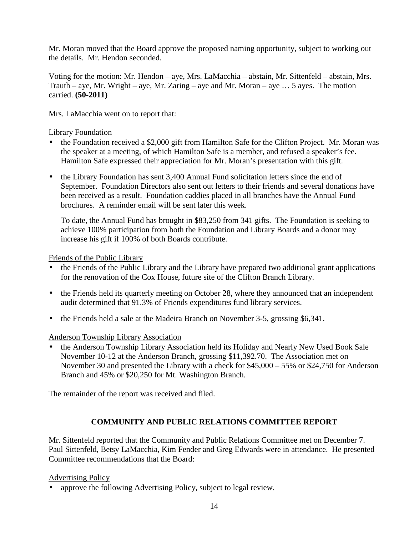Mr. Moran moved that the Board approve the proposed naming opportunity, subject to working out the details. Mr. Hendon seconded.

Voting for the motion: Mr. Hendon – aye, Mrs. LaMacchia – abstain, Mr. Sittenfeld – abstain, Mrs. Trauth – aye, Mr. Wright – aye, Mr. Zaring – aye and Mr. Moran – aye  $\dots$  5 ayes. The motion carried. **(50-2011)** 

Mrs. LaMacchia went on to report that:

## Library Foundation

- the Foundation received a \$2,000 gift from Hamilton Safe for the Clifton Project. Mr. Moran was the speaker at a meeting, of which Hamilton Safe is a member, and refused a speaker's fee. Hamilton Safe expressed their appreciation for Mr. Moran's presentation with this gift.
- the Library Foundation has sent 3,400 Annual Fund solicitation letters since the end of September. Foundation Directors also sent out letters to their friends and several donations have been received as a result. Foundation caddies placed in all branches have the Annual Fund brochures. A reminder email will be sent later this week.

To date, the Annual Fund has brought in \$83,250 from 341 gifts. The Foundation is seeking to achieve 100% participation from both the Foundation and Library Boards and a donor may increase his gift if 100% of both Boards contribute.

Friends of the Public Library

- the Friends of the Public Library and the Library have prepared two additional grant applications for the renovation of the Cox House, future site of the Clifton Branch Library.
- the Friends held its quarterly meeting on October 28, where they announced that an independent audit determined that 91.3% of Friends expenditures fund library services.
- the Friends held a sale at the Madeira Branch on November 3-5, grossing \$6,341.

# Anderson Township Library Association

• the Anderson Township Library Association held its Holiday and Nearly New Used Book Sale November 10-12 at the Anderson Branch, grossing \$11,392.70. The Association met on November 30 and presented the Library with a check for \$45,000 – 55% or \$24,750 for Anderson Branch and 45% or \$20,250 for Mt. Washington Branch.

The remainder of the report was received and filed.

# **COMMUNITY AND PUBLIC RELATIONS COMMITTEE REPORT**

Mr. Sittenfeld reported that the Community and Public Relations Committee met on December 7. Paul Sittenfeld, Betsy LaMacchia, Kim Fender and Greg Edwards were in attendance. He presented Committee recommendations that the Board:

# Advertising Policy

• approve the following Advertising Policy, subject to legal review.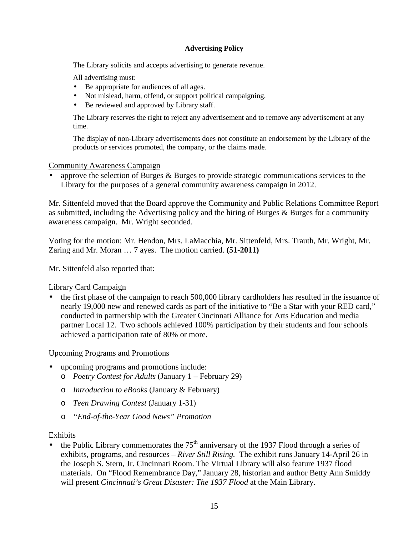### **Advertising Policy**

The Library solicits and accepts advertising to generate revenue.

All advertising must:

- Be appropriate for audiences of all ages.
- Not mislead, harm, offend, or support political campaigning.
- Be reviewed and approved by Library staff.

The Library reserves the right to reject any advertisement and to remove any advertisement at any time.

The display of non-Library advertisements does not constitute an endorsement by the Library of the products or services promoted, the company, or the claims made.

### Community Awareness Campaign

• approve the selection of Burges & Burges to provide strategic communications services to the Library for the purposes of a general community awareness campaign in 2012.

Mr. Sittenfeld moved that the Board approve the Community and Public Relations Committee Report as submitted, including the Advertising policy and the hiring of Burges  $\&$  Burges for a community awareness campaign. Mr. Wright seconded.

Voting for the motion: Mr. Hendon, Mrs. LaMacchia, Mr. Sittenfeld, Mrs. Trauth, Mr. Wright, Mr. Zaring and Mr. Moran … 7 ayes. The motion carried. **(51-2011)** 

Mr. Sittenfeld also reported that:

### Library Card Campaign

• the first phase of the campaign to reach 500,000 library cardholders has resulted in the issuance of nearly 19,000 new and renewed cards as part of the initiative to "Be a Star with your RED card," conducted in partnership with the Greater Cincinnati Alliance for Arts Education and media partner Local 12. Two schools achieved 100% participation by their students and four schools achieved a participation rate of 80% or more.

### Upcoming Programs and Promotions

- upcoming programs and promotions include:
	- o *Poetry Contest for Adults* (January 1 February 29)
	- o *Introduction to eBooks* (January & February)
	- o *Teen Drawing Contest* (January 1-31)
	- o *"End-of-the-Year Good News" Promotion*

### Exhibits

 $\overline{\bullet}$  the Public Library commemorates the 75<sup>th</sup> anniversary of the 1937 Flood through a series of exhibits, programs, and resources – *River Still Rising.* The exhibit runs January 14-April 26 in the Joseph S. Stern, Jr. Cincinnati Room. The Virtual Library will also feature 1937 flood materials. On "Flood Remembrance Day," January 28, historian and author Betty Ann Smiddy will present *Cincinnati's Great Disaster: The 1937 Flood* at the Main Library.